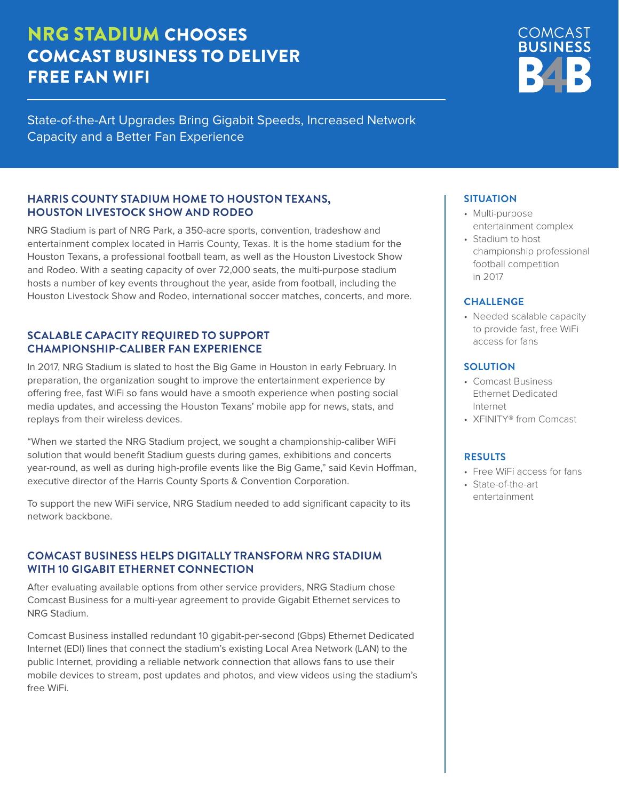# NRG STADIUM CHOOSES COMCAST BUSINESS TO DELIVER FREE FAN WIFI



State-of-the-Art Upgrades Bring Gigabit Speeds, Increased Network Capacity and a Better Fan Experience

## **HARRIS COUNTY STADIUM HOME TO HOUSTON TEXANS, HOUSTON LIVESTOCK SHOW AND RODEO**

NRG Stadium is part of NRG Park, a 350-acre sports, convention, tradeshow and entertainment complex located in Harris County, Texas. It is the home stadium for the Houston Texans, a professional football team, as well as the Houston Livestock Show and Rodeo. With a seating capacity of over 72,000 seats, the multi-purpose stadium hosts a number of key events throughout the year, aside from football, including the Houston Livestock Show and Rodeo, international soccer matches, concerts, and more.

## **SCALABLE CAPACITY REQUIRED TO SUPPORT CHAMPIONSHIP-CALIBER FAN EXPERIENCE**

In 2017, NRG Stadium is slated to host the Big Game in Houston in early February. In preparation, the organization sought to improve the entertainment experience by offering free, fast WiFi so fans would have a smooth experience when posting social media updates, and accessing the Houston Texans' mobile app for news, stats, and replays from their wireless devices.

"When we started the NRG Stadium project, we sought a championship-caliber WiFi solution that would benefit Stadium guests during games, exhibitions and concerts year-round, as well as during high-profile events like the Big Game," said Kevin Hoffman, executive director of the Harris County Sports & Convention Corporation.

To support the new WiFi service, NRG Stadium needed to add significant capacity to its network backbone.

## **COMCAST BUSINESS HELPS DIGITALLY TRANSFORM NRG STADIUM WITH 10 GIGABIT ETHERNET CONNECTION**

After evaluating available options from other service providers, NRG Stadium chose Comcast Business for a multi-year agreement to provide Gigabit Ethernet services to NRG Stadium.

Comcast Business installed redundant 10 gigabit-per-second (Gbps) Ethernet Dedicated Internet (EDI) lines that connect the stadium's existing Local Area Network (LAN) to the public Internet, providing a reliable network connection that allows fans to use their mobile devices to stream, post updates and photos, and view videos using the stadium's free WiFi.

## **SITUATION**

- Multi-purpose entertainment complex
- Stadium to host championship professional football competition in 2017

#### **CHALLENGE**

• Needed scalable capacity to provide fast, free WiFi access for fans

#### **SOLUTION**

- Comcast Business Ethernet Dedicated Internet
- XFINITY® from Comcast

#### **RESULTS**

- Free WiFi access for fans
- State-of-the-art entertainment